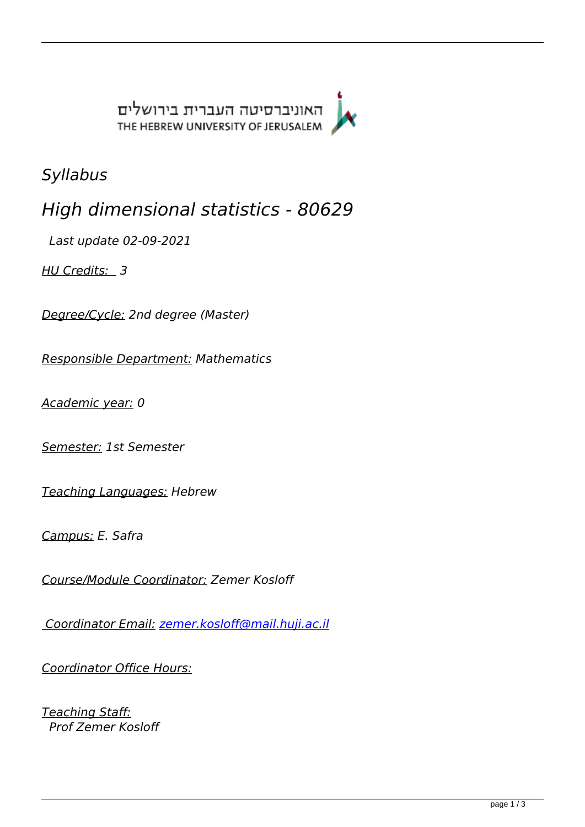האוניברסיטה העברית בירושלים THE HEBREW UNIVERSITY OF JERUSALEM



*Syllabus*

*High dimensional statistics - 80629* 

 *Last update 02-09-2021* 

*HU Credits: 3* 

*Degree/Cycle: 2nd degree (Master)* 

*Responsible Department: Mathematics* 

*Academic year: 0* 

*Semester: 1st Semester* 

*Teaching Languages: Hebrew* 

*Campus: E. Safra* 

*Course/Module Coordinator: Zemer Kosloff* 

 *Coordinator Email: [zemer.kosloff@mail.huji.ac.il](mailto:zemer.kosloff@mail.huji.ac.il)*

*Coordinator Office Hours:*

*Teaching Staff: Prof Zemer Kosloff*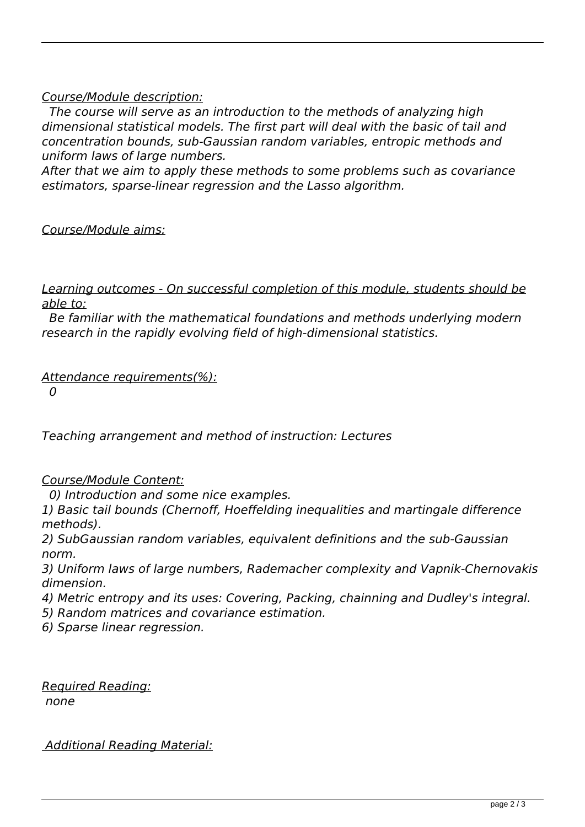## *Course/Module description:*

 *The course will serve as an introduction to the methods of analyzing high dimensional statistical models. The first part will deal with the basic of tail and concentration bounds, sub-Gaussian random variables, entropic methods and uniform laws of large numbers.* 

*After that we aim to apply these methods to some problems such as covariance estimators, sparse-linear regression and the Lasso algorithm.* 

*Course/Module aims:*

*Learning outcomes - On successful completion of this module, students should be able to:*

 *Be familiar with the mathematical foundations and methods underlying modern research in the rapidly evolving field of high-dimensional statistics.* 

*Attendance requirements(%):*

 *0* 

*Teaching arrangement and method of instruction: Lectures* 

*Course/Module Content:*

 *0) Introduction and some nice examples.* 

*1) Basic tail bounds (Chernoff, Hoeffelding inequalities and martingale difference methods).* 

*2) SubGaussian random variables, equivalent definitions and the sub-Gaussian norm.* 

*3) Uniform laws of large numbers, Rademacher complexity and Vapnik-Chernovakis dimension.* 

*4) Metric entropy and its uses: Covering, Packing, chainning and Dudley's integral.* 

*5) Random matrices and covariance estimation.* 

*6) Sparse linear regression.* 

*Required Reading:*

 *none* 

 *Additional Reading Material:*